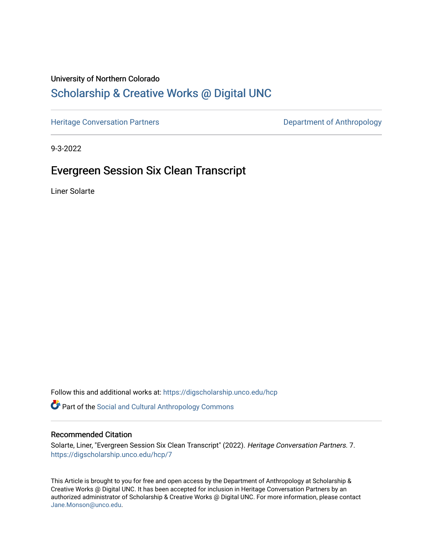### University of Northern Colorado

# [Scholarship & Creative Works @ Digital UNC](https://digscholarship.unco.edu/)

[Heritage Conversation Partners](https://digscholarship.unco.edu/hcp) **Department of Anthropology** 

9-3-2022

## Evergreen Session Six Clean Transcript

Liner Solarte

Follow this and additional works at: [https://digscholarship.unco.edu/hcp](https://digscholarship.unco.edu/hcp?utm_source=digscholarship.unco.edu%2Fhcp%2F7&utm_medium=PDF&utm_campaign=PDFCoverPages) 

**Part of the Social and Cultural Anthropology Commons** 

#### Recommended Citation

Solarte, Liner, "Evergreen Session Six Clean Transcript" (2022). Heritage Conversation Partners. 7. [https://digscholarship.unco.edu/hcp/7](https://digscholarship.unco.edu/hcp/7?utm_source=digscholarship.unco.edu%2Fhcp%2F7&utm_medium=PDF&utm_campaign=PDFCoverPages)

This Article is brought to you for free and open access by the Department of Anthropology at Scholarship & Creative Works @ Digital UNC. It has been accepted for inclusion in Heritage Conversation Partners by an authorized administrator of Scholarship & Creative Works @ Digital UNC. For more information, please contact [Jane.Monson@unco.edu.](mailto:Jane.Monson@unco.edu)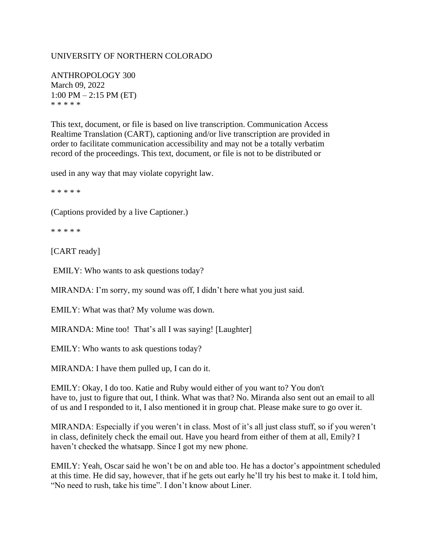#### UNIVERSITY OF NORTHERN COLORADO

ANTHROPOLOGY 300 March 09, 2022 1:00 PM – 2:15 PM (ET) \* \* \* \* \*

This text, document, or file is based on live transcription. Communication Access Realtime Translation (CART), captioning and/or live transcription are provided in order to facilitate communication accessibility and may not be a totally verbatim record of the proceedings. This text, document, or file is not to be distributed or

used in any way that may violate copyright law.

\* \* \* \* \*

(Captions provided by a live Captioner.)

\* \* \* \* \*

[CART ready]

EMILY: Who wants to ask questions today?

MIRANDA: I'm sorry, my sound was off, I didn't here what you just said.

EMILY: What was that? My volume was down.

MIRANDA: Mine too! That's all I was saying! [Laughter]

EMILY: Who wants to ask questions today?

MIRANDA: I have them pulled up, I can do it.

EMILY: Okay, I do too. Katie and Ruby would either of you want to? You don't have to, just to figure that out, I think. What was that? No. Miranda also sent out an email to all of us and I responded to it, I also mentioned it in group chat. Please make sure to go over it.

MIRANDA: Especially if you weren't in class. Most of it's all just class stuff, so if you weren't in class, definitely check the email out. Have you heard from either of them at all, Emily? I haven't checked the whatsapp. Since I got my new phone.

EMILY: Yeah, Oscar said he won't be on and able too. He has a doctor's appointment scheduled at this time. He did say, however, that if he gets out early he'll try his best to make it. I told him, "No need to rush, take his time". I don't know about Liner.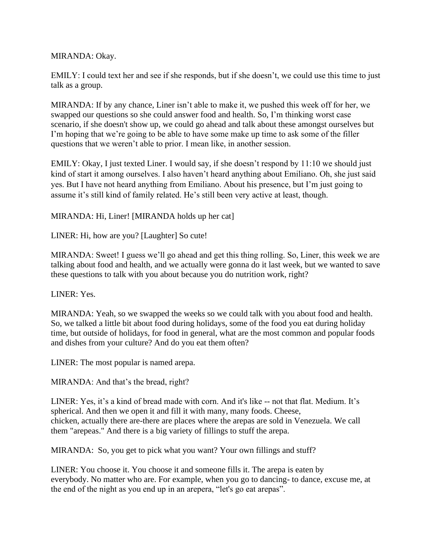MIRANDA: Okay.

EMILY: I could text her and see if she responds, but if she doesn't, we could use this time to just talk as a group.

MIRANDA: If by any chance, Liner isn't able to make it, we pushed this week off for her, we swapped our questions so she could answer food and health. So, I'm thinking worst case scenario, if she doesn't show up, we could go ahead and talk about these amongst ourselves but I'm hoping that we're going to be able to have some make up time to ask some of the filler questions that we weren't able to prior. I mean like, in another session.

EMILY: Okay, I just texted Liner. I would say, if she doesn't respond by 11:10 we should just kind of start it among ourselves. I also haven't heard anything about Emiliano. Oh, she just said yes. But I have not heard anything from Emiliano. About his presence, but I'm just going to assume it's still kind of family related. He's still been very active at least, though.

MIRANDA: Hi, Liner! [MIRANDA holds up her cat]

LINER: Hi, how are you? [Laughter] So cute!

MIRANDA: Sweet! I guess we'll go ahead and get this thing rolling. So, Liner, this week we are talking about food and health, and we actually were gonna do it last week, but we wanted to save these questions to talk with you about because you do nutrition work, right?

LINER: Yes.

MIRANDA: Yeah, so we swapped the weeks so we could talk with you about food and health. So, we talked a little bit about food during holidays, some of the food you eat during holiday time, but outside of holidays, for food in general, what are the most common and popular foods and dishes from your culture? And do you eat them often?

LINER: The most popular is named arepa.

MIRANDA: And that's the bread, right?

LINER: Yes, it's a kind of bread made with corn. And it's like -- not that flat. Medium. It's spherical. And then we open it and fill it with many, many foods. Cheese, chicken, actually there are-there are places where the arepas are sold in Venezuela. We call them "arepeas." And there is a big variety of fillings to stuff the arepa.

MIRANDA: So, you get to pick what you want? Your own fillings and stuff?

LINER: You choose it. You choose it and someone fills it. The arepa is eaten by everybody. No matter who are. For example, when you go to dancing- to dance, excuse me, at the end of the night as you end up in an arepera, "let's go eat arepas".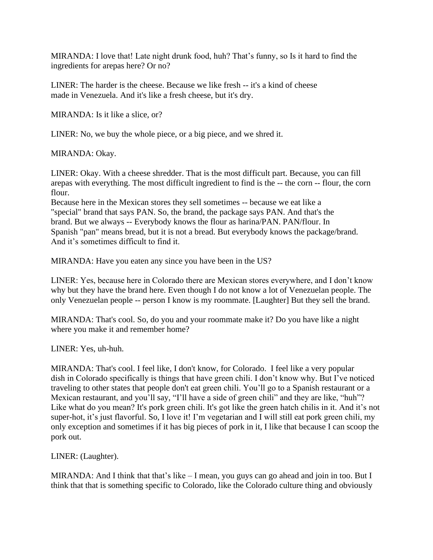MIRANDA: I love that! Late night drunk food, huh? That's funny, so Is it hard to find the ingredients for arepas here? Or no?

LINER: The harder is the cheese. Because we like fresh -- it's a kind of cheese made in Venezuela. And it's like a fresh cheese, but it's dry.

MIRANDA: Is it like a slice, or?

LINER: No, we buy the whole piece, or a big piece, and we shred it.

MIRANDA: Okay.

LINER: Okay. With a cheese shredder. That is the most difficult part. Because, you can fill arepas with everything. The most difficult ingredient to find is the -- the corn -- flour, the corn flour.

Because here in the Mexican stores they sell sometimes -- because we eat like a "special" brand that says PAN. So, the brand, the package says PAN. And that's the brand. But we always -- Everybody knows the flour as harina/PAN. PAN/flour. In Spanish "pan" means bread, but it is not a bread. But everybody knows the package/brand. And it's sometimes difficult to find it.

MIRANDA: Have you eaten any since you have been in the US?

LINER: Yes, because here in Colorado there are Mexican stores everywhere, and I don't know why but they have the brand here. Even though I do not know a lot of Venezuelan people. The only Venezuelan people -- person I know is my roommate. [Laughter] But they sell the brand.

MIRANDA: That's cool. So, do you and your roommate make it? Do you have like a night where you make it and remember home?

LINER: Yes, uh-huh.

MIRANDA: That's cool. I feel like, I don't know, for Colorado. I feel like a very popular dish in Colorado specifically is things that have green chili. I don't know why. But I've noticed traveling to other states that people don't eat green chili. You'll go to a Spanish restaurant or a Mexican restaurant, and you'll say, "I'll have a side of green chili" and they are like, "huh"? Like what do you mean? It's pork green chili. It's got like the green hatch chilis in it. And it's not super-hot, it's just flavorful. So, I love it! I'm vegetarian and I will still eat pork green chili, my only exception and sometimes if it has big pieces of pork in it, I like that because I can scoop the pork out.

LINER: (Laughter).

MIRANDA: And I think that that's like – I mean, you guys can go ahead and join in too. But I think that that is something specific to Colorado, like the Colorado culture thing and obviously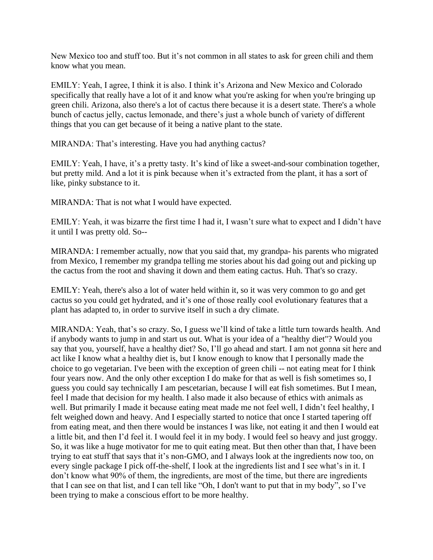New Mexico too and stuff too. But it's not common in all states to ask for green chili and them know what you mean.

EMILY: Yeah, I agree, I think it is also. I think it's Arizona and New Mexico and Colorado specifically that really have a lot of it and know what you're asking for when you're bringing up green chili. Arizona, also there's a lot of cactus there because it is a desert state. There's a whole bunch of cactus jelly, cactus lemonade, and there's just a whole bunch of variety of different things that you can get because of it being a native plant to the state.

MIRANDA: That's interesting. Have you had anything cactus?

EMILY: Yeah, I have, it's a pretty tasty. It's kind of like a sweet-and-sour combination together, but pretty mild. And a lot it is pink because when it's extracted from the plant, it has a sort of like, pinky substance to it.

MIRANDA: That is not what I would have expected.

EMILY: Yeah, it was bizarre the first time I had it, I wasn't sure what to expect and I didn't have it until I was pretty old. So--

MIRANDA: I remember actually, now that you said that, my grandpa- his parents who migrated from Mexico, I remember my grandpa telling me stories about his dad going out and picking up the cactus from the root and shaving it down and them eating cactus. Huh. That's so crazy.

EMILY: Yeah, there's also a lot of water held within it, so it was very common to go and get cactus so you could get hydrated, and it's one of those really cool evolutionary features that a plant has adapted to, in order to survive itself in such a dry climate.

MIRANDA: Yeah, that's so crazy. So, I guess we'll kind of take a little turn towards health. And if anybody wants to jump in and start us out. What is your idea of a "healthy diet"? Would you say that you, yourself, have a healthy diet? So, I'll go ahead and start. I am not gonna sit here and act like I know what a healthy diet is, but I know enough to know that I personally made the choice to go vegetarian. I've been with the exception of green chili -- not eating meat for I think four years now. And the only other exception I do make for that as well is fish sometimes so, I guess you could say technically I am pescetarian, because I will eat fish sometimes. But I mean, feel I made that decision for my health. I also made it also because of ethics with animals as well. But primarily I made it because eating meat made me not feel well, I didn't feel healthy, I felt weighed down and heavy. And I especially started to notice that once I started tapering off from eating meat, and then there would be instances I was like, not eating it and then I would eat a little bit, and then I'd feel it. I would feel it in my body. I would feel so heavy and just groggy. So, it was like a huge motivator for me to quit eating meat. But then other than that, I have been trying to eat stuff that says that it's non-GMO, and I always look at the ingredients now too, on every single package I pick off-the-shelf, I look at the ingredients list and I see what's in it. I don't know what 90% of them, the ingredients, are most of the time, but there are ingredients that I can see on that list, and I can tell like "Oh, I don't want to put that in my body", so I've been trying to make a conscious effort to be more healthy.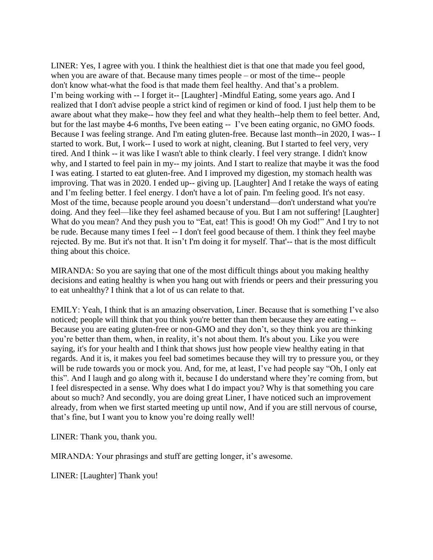LINER: Yes, I agree with you. I think the healthiest diet is that one that made you feel good, when you are aware of that. Because many times people – or most of the time-- people don't know what-what the food is that made them feel healthy. And that's a problem. I'm being working with -- I forget it-- [Laughter] -Mindful Eating, some years ago. And I realized that I don't advise people a strict kind of regimen or kind of food. I just help them to be aware about what they make-- how they feel and what they health--help them to feel better. And, but for the last maybe 4-6 months, I've been eating  $-$  I've been eating organic, no GMO foods. Because I was feeling strange. And I'm eating gluten-free. Because last month--in 2020, I was-- I started to work. But, I work-- I used to work at night, cleaning. But I started to feel very, very tired. And I think -- it was like I wasn't able to think clearly. I feel very strange. I didn't know why, and I started to feel pain in my-- my joints. And I start to realize that maybe it was the food I was eating. I started to eat gluten-free. And I improved my digestion, my stomach health was improving. That was in 2020. I ended up-- giving up. [Laughter] And I retake the ways of eating and I'm feeling better. I feel energy. I don't have a lot of pain. I'm feeling good. It's not easy. Most of the time, because people around you doesn't understand—don't understand what you're doing. And they feel—like they feel ashamed because of you. But I am not suffering! [Laughter] What do you mean? And they push you to "Eat, eat! This is good! Oh my God!" And I try to not be rude. Because many times I feel -- I don't feel good because of them. I think they feel maybe rejected. By me. But it's not that. It isn't I'm doing it for myself. That'-- that is the most difficult thing about this choice.

MIRANDA: So you are saying that one of the most difficult things about you making healthy decisions and eating healthy is when you hang out with friends or peers and their pressuring you to eat unhealthy? I think that a lot of us can relate to that.

EMILY: Yeah, I think that is an amazing observation, Liner. Because that is something I've also noticed; people will think that you think you're better than them because they are eating -- Because you are eating gluten-free or non-GMO and they don't, so they think you are thinking you're better than them, when, in reality, it's not about them. It's about you. Like you were saying, it's for your health and I think that shows just how people view healthy eating in that regards. And it is, it makes you feel bad sometimes because they will try to pressure you, or they will be rude towards you or mock you. And, for me, at least, I've had people say "Oh, I only eat this". And I laugh and go along with it, because I do understand where they're coming from, but I feel disrespected in a sense. Why does what I do impact you? Why is that something you care about so much? And secondly, you are doing great Liner, I have noticed such an improvement already, from when we first started meeting up until now, And if you are still nervous of course, that's fine, but I want you to know you're doing really well!

LINER: Thank you, thank you.

MIRANDA: Your phrasings and stuff are getting longer, it's awesome.

LINER: [Laughter] Thank you!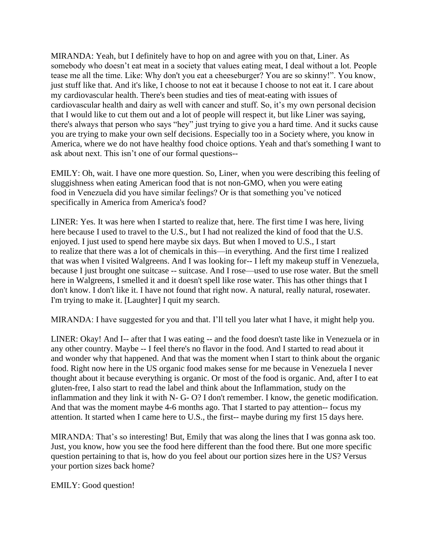MIRANDA: Yeah, but I definitely have to hop on and agree with you on that, Liner. As somebody who doesn't eat meat in a society that values eating meat, I deal without a lot. People tease me all the time. Like: Why don't you eat a cheeseburger? You are so skinny!". You know, just stuff like that. And it's like, I choose to not eat it because I choose to not eat it. I care about my cardiovascular health. There's been studies and ties of meat-eating with issues of cardiovascular health and dairy as well with cancer and stuff. So, it's my own personal decision that I would like to cut them out and a lot of people will respect it, but like Liner was saying, there's always that person who says "hey" just trying to give you a hard time. And it sucks cause you are trying to make your own self decisions. Especially too in a Society where, you know in America, where we do not have healthy food choice options. Yeah and that's something I want to ask about next. This isn't one of our formal questions--

EMILY: Oh, wait. I have one more question. So, Liner, when you were describing this feeling of sluggishness when eating American food that is not non-GMO, when you were eating food in Venezuela did you have similar feelings? Or is that something you've noticed specifically in America from America's food?

LINER: Yes. It was here when I started to realize that, here. The first time I was here, living here because I used to travel to the U.S., but I had not realized the kind of food that the U.S. enjoyed. I just used to spend here maybe six days. But when I moved to U.S., I start to realize that there was a lot of chemicals in this—in everything. And the first time I realized that was when I visited Walgreens. And I was looking for-- I left my makeup stuff in Venezuela, because I just brought one suitcase -- suitcase. And I rose—used to use rose water. But the smell here in Walgreens, I smelled it and it doesn't spell like rose water. This has other things that I don't know. I don't like it. I have not found that right now. A natural, really natural, rosewater. I'm trying to make it. [Laughter] I quit my search.

MIRANDA: I have suggested for you and that. I'll tell you later what I have, it might help you.

LINER: Okay! And I-- after that I was eating -- and the food doesn't taste like in Venezuela or in any other country. Maybe -- I feel there's no flavor in the food. And I started to read about it and wonder why that happened. And that was the moment when I start to think about the organic food. Right now here in the US organic food makes sense for me because in Venezuela I never thought about it because everything is organic. Or most of the food is organic. And, after I to eat gluten-free, I also start to read the label and think about the Inflammation, study on the inflammation and they link it with N- G- O? I don't remember. I know, the genetic modification. And that was the moment maybe 4-6 months ago. That I started to pay attention-- focus my attention. It started when I came here to U.S., the first-- maybe during my first 15 days here.

MIRANDA: That's so interesting! But, Emily that was along the lines that I was gonna ask too. Just, you know, how you see the food here different than the food there. But one more specific question pertaining to that is, how do you feel about our portion sizes here in the US? Versus your portion sizes back home?

EMILY: Good question!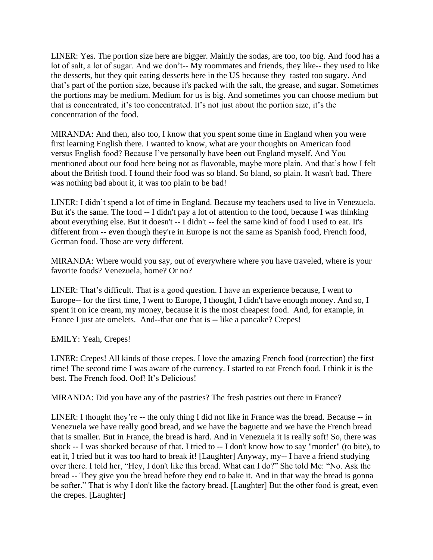LINER: Yes. The portion size here are bigger. Mainly the sodas, are too, too big. And food has a lot of salt, a lot of sugar. And we don't-- My roommates and friends, they like-- they used to like the desserts, but they quit eating desserts here in the US because they tasted too sugary. And that's part of the portion size, because it's packed with the salt, the grease, and sugar. Sometimes the portions may be medium. Medium for us is big. And sometimes you can choose medium but that is concentrated, it's too concentrated. It's not just about the portion size, it's the concentration of the food.

MIRANDA: And then, also too, I know that you spent some time in England when you were first learning English there. I wanted to know, what are your thoughts on American food versus English food? Because I've personally have been out England myself. And You mentioned about our food here being not as flavorable, maybe more plain. And that's how I felt about the British food. I found their food was so bland. So bland, so plain. It wasn't bad. There was nothing bad about it, it was too plain to be bad!

LINER: I didn't spend a lot of time in England. Because my teachers used to live in Venezuela. But it's the same. The food -- I didn't pay a lot of attention to the food, because I was thinking about everything else. But it doesn't -- I didn't -- feel the same kind of food I used to eat. It's different from -- even though they're in Europe is not the same as Spanish food, French food, German food. Those are very different.

MIRANDA: Where would you say, out of everywhere where you have traveled, where is your favorite foods? Venezuela, home? Or no?

LINER: That's difficult. That is a good question. I have an experience because, I went to Europe-- for the first time, I went to Europe, I thought, I didn't have enough money. And so, I spent it on ice cream, my money, because it is the most cheapest food. And, for example, in France I just ate omelets. And--that one that is -- like a pancake? Crepes!

EMILY: Yeah, Crepes!

LINER: Crepes! All kinds of those crepes. I love the amazing French food (correction) the first time! The second time I was aware of the currency. I started to eat French food. I think it is the best. The French food. Oof! It's Delicious!

MIRANDA: Did you have any of the pastries? The fresh pastries out there in France?

LINER: I thought they're -- the only thing I did not like in France was the bread. Because -- in Venezuela we have really good bread, and we have the baguette and we have the French bread that is smaller. But in France, the bread is hard. And in Venezuela it is really soft! So, there was shock -- I was shocked because of that. I tried to -- I don't know how to say "morder" (to bite), to eat it, I tried but it was too hard to break it! [Laughter] Anyway, my-- I have a friend studying over there. I told her, "Hey, I don't like this bread. What can I do?" She told Me: "No. Ask the bread -- They give you the bread before they end to bake it. And in that way the bread is gonna be softer." That is why I don't like the factory bread. [Laughter] But the other food is great, even the crepes. [Laughter]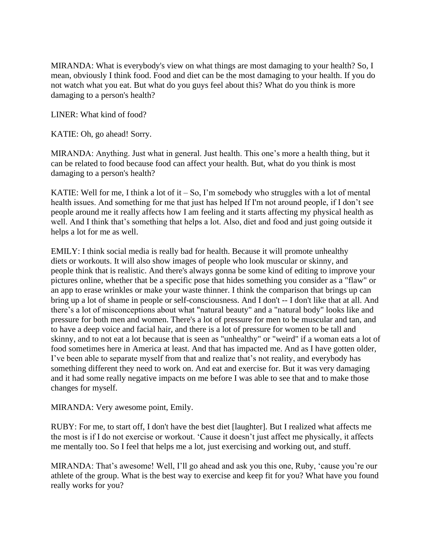MIRANDA: What is everybody's view on what things are most damaging to your health? So, I mean, obviously I think food. Food and diet can be the most damaging to your health. If you do not watch what you eat. But what do you guys feel about this? What do you think is more damaging to a person's health?

LINER: What kind of food?

KATIE: Oh, go ahead! Sorry.

MIRANDA: Anything. Just what in general. Just health. This one's more a health thing, but it can be related to food because food can affect your health. But, what do you think is most damaging to a person's health?

KATIE: Well for me, I think a lot of it  $-$  So, I'm somebody who struggles with a lot of mental health issues. And something for me that just has helped If I'm not around people, if I don't see people around me it really affects how I am feeling and it starts affecting my physical health as well. And I think that's something that helps a lot. Also, diet and food and just going outside it helps a lot for me as well.

EMILY: I think social media is really bad for health. Because it will promote unhealthy diets or workouts. It will also show images of people who look muscular or skinny, and people think that is realistic. And there's always gonna be some kind of editing to improve your pictures online, whether that be a specific pose that hides something you consider as a "flaw" or an app to erase wrinkles or make your waste thinner. I think the comparison that brings up can bring up a lot of shame in people or self-consciousness. And I don't -- I don't like that at all. And there's a lot of misconceptions about what "natural beauty" and a "natural body" looks like and pressure for both men and women. There's a lot of pressure for men to be muscular and tan, and to have a deep voice and facial hair, and there is a lot of pressure for women to be tall and skinny, and to not eat a lot because that is seen as "unhealthy" or "weird" if a woman eats a lot of food sometimes here in America at least. And that has impacted me. And as I have gotten older, I've been able to separate myself from that and realize that's not reality, and everybody has something different they need to work on. And eat and exercise for. But it was very damaging and it had some really negative impacts on me before I was able to see that and to make those changes for myself.

MIRANDA: Very awesome point, Emily.

RUBY: For me, to start off, I don't have the best diet [laughter]. But I realized what affects me the most is if I do not exercise or workout. 'Cause it doesn't just affect me physically, it affects me mentally too. So I feel that helps me a lot, just exercising and working out, and stuff.

MIRANDA: That's awesome! Well, I'll go ahead and ask you this one, Ruby, 'cause you're our athlete of the group. What is the best way to exercise and keep fit for you? What have you found really works for you?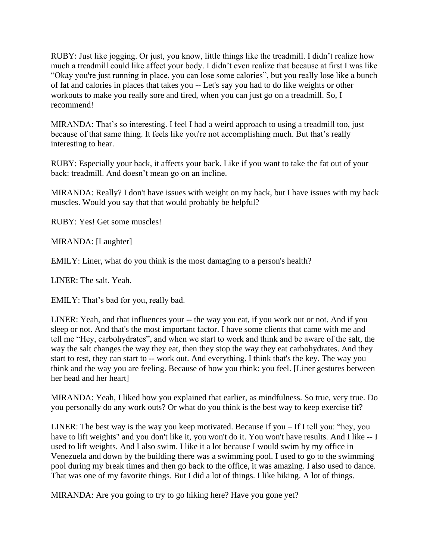RUBY: Just like jogging. Or just, you know, little things like the treadmill. I didn't realize how much a treadmill could like affect your body. I didn't even realize that because at first I was like "Okay you're just running in place, you can lose some calories", but you really lose like a bunch of fat and calories in places that takes you -- Let's say you had to do like weights or other workouts to make you really sore and tired, when you can just go on a treadmill. So, I recommend!

MIRANDA: That's so interesting. I feel I had a weird approach to using a treadmill too, just because of that same thing. It feels like you're not accomplishing much. But that's really interesting to hear.

RUBY: Especially your back, it affects your back. Like if you want to take the fat out of your back: treadmill. And doesn't mean go on an incline.

MIRANDA: Really? I don't have issues with weight on my back, but I have issues with my back muscles. Would you say that that would probably be helpful?

RUBY: Yes! Get some muscles!

MIRANDA: [Laughter]

EMILY: Liner, what do you think is the most damaging to a person's health?

LINER: The salt. Yeah.

EMILY: That's bad for you, really bad.

LINER: Yeah, and that influences your -- the way you eat, if you work out or not. And if you sleep or not. And that's the most important factor. I have some clients that came with me and tell me "Hey, carbohydrates", and when we start to work and think and be aware of the salt, the way the salt changes the way they eat, then they stop the way they eat carbohydrates. And they start to rest, they can start to -- work out. And everything. I think that's the key. The way you think and the way you are feeling. Because of how you think: you feel. [Liner gestures between her head and her heart]

MIRANDA: Yeah, I liked how you explained that earlier, as mindfulness. So true, very true. Do you personally do any work outs? Or what do you think is the best way to keep exercise fit?

LINER: The best way is the way you keep motivated. Because if you – If I tell you: "hey, you have to lift weights" and you don't like it, you won't do it. You won't have results. And I like -- I used to lift weights. And I also swim. I like it a lot because I would swim by my office in Venezuela and down by the building there was a swimming pool. I used to go to the swimming pool during my break times and then go back to the office, it was amazing. I also used to dance. That was one of my favorite things. But I did a lot of things. I like hiking. A lot of things.

MIRANDA: Are you going to try to go hiking here? Have you gone yet?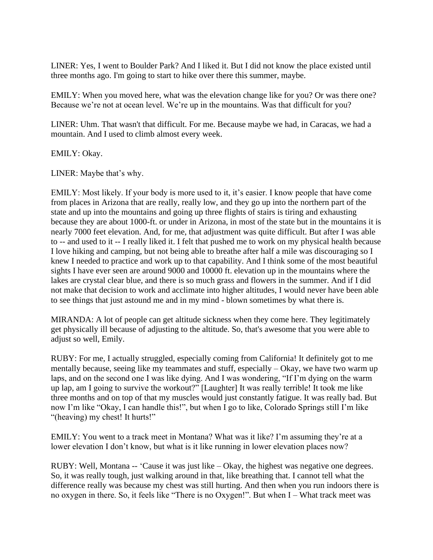LINER: Yes, I went to Boulder Park? And I liked it. But I did not know the place existed until three months ago. I'm going to start to hike over there this summer, maybe.

EMILY: When you moved here, what was the elevation change like for you? Or was there one? Because we're not at ocean level. We're up in the mountains. Was that difficult for you?

LINER: Uhm. That wasn't that difficult. For me. Because maybe we had, in Caracas, we had a mountain. And I used to climb almost every week.

EMILY: Okay.

LINER: Maybe that's why.

EMILY: Most likely. If your body is more used to it, it's easier. I know people that have come from places in Arizona that are really, really low, and they go up into the northern part of the state and up into the mountains and going up three flights of stairs is tiring and exhausting because they are about 1000-ft. or under in Arizona, in most of the state but in the mountains it is nearly 7000 feet elevation. And, for me, that adjustment was quite difficult. But after I was able to -- and used to it -- I really liked it. I felt that pushed me to work on my physical health because I love hiking and camping, but not being able to breathe after half a mile was discouraging so I knew I needed to practice and work up to that capability. And I think some of the most beautiful sights I have ever seen are around 9000 and 10000 ft. elevation up in the mountains where the lakes are crystal clear blue, and there is so much grass and flowers in the summer. And if I did not make that decision to work and acclimate into higher altitudes, I would never have been able to see things that just astound me and in my mind - blown sometimes by what there is.

MIRANDA: A lot of people can get altitude sickness when they come here. They legitimately get physically ill because of adjusting to the altitude. So, that's awesome that you were able to adjust so well, Emily.

RUBY: For me, I actually struggled, especially coming from California! It definitely got to me mentally because, seeing like my teammates and stuff, especially – Okay, we have two warm up laps, and on the second one I was like dying. And I was wondering, "If I'm dying on the warm up lap, am I going to survive the workout?" [Laughter] It was really terrible! It took me like three months and on top of that my muscles would just constantly fatigue. It was really bad. But now I'm like "Okay, I can handle this!", but when I go to like, Colorado Springs still I'm like "(heaving) my chest! It hurts!"

EMILY: You went to a track meet in Montana? What was it like? I'm assuming they're at a lower elevation I don't know, but what is it like running in lower elevation places now?

RUBY: Well, Montana -- 'Cause it was just like – Okay, the highest was negative one degrees. So, it was really tough, just walking around in that, like breathing that. I cannot tell what the difference really was because my chest was still hurting. And then when you run indoors there is no oxygen in there. So, it feels like "There is no Oxygen!". But when I – What track meet was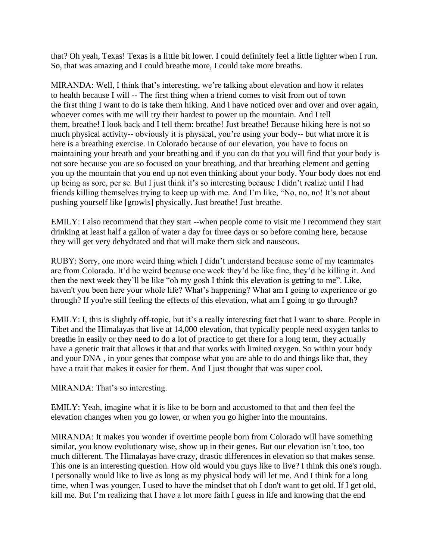that? Oh yeah, Texas! Texas is a little bit lower. I could definitely feel a little lighter when I run. So, that was amazing and I could breathe more, I could take more breaths.

MIRANDA: Well, I think that's interesting, we're talking about elevation and how it relates to health because I will -- The first thing when a friend comes to visit from out of town the first thing I want to do is take them hiking. And I have noticed over and over and over again, whoever comes with me will try their hardest to power up the mountain. And I tell them, breathe! I look back and I tell them: breathe! Just breathe! Because hiking here is not so much physical activity-- obviously it is physical, you're using your body-- but what more it is here is a breathing exercise. In Colorado because of our elevation, you have to focus on maintaining your breath and your breathing and if you can do that you will find that your body is not sore because you are so focused on your breathing, and that breathing element and getting you up the mountain that you end up not even thinking about your body. Your body does not end up being as sore, per se. But I just think it's so interesting because I didn't realize until I had friends killing themselves trying to keep up with me. And I'm like, "No, no, no! It's not about pushing yourself like [growls] physically. Just breathe! Just breathe.

EMILY: I also recommend that they start --when people come to visit me I recommend they start drinking at least half a gallon of water a day for three days or so before coming here, because they will get very dehydrated and that will make them sick and nauseous.

RUBY: Sorry, one more weird thing which I didn't understand because some of my teammates are from Colorado. It'd be weird because one week they'd be like fine, they'd be killing it. And then the next week they'll be like "oh my gosh I think this elevation is getting to me". Like, haven't you been here your whole life? What's happening? What am I going to experience or go through? If you're still feeling the effects of this elevation, what am I going to go through?

EMILY: I, this is slightly off-topic, but it's a really interesting fact that I want to share. People in Tibet and the Himalayas that live at 14,000 elevation, that typically people need oxygen tanks to breathe in easily or they need to do a lot of practice to get there for a long term, they actually have a genetic trait that allows it that and that works with limited oxygen. So within your body and your DNA , in your genes that compose what you are able to do and things like that, they have a trait that makes it easier for them. And I just thought that was super cool.

MIRANDA: That's so interesting.

EMILY: Yeah, imagine what it is like to be born and accustomed to that and then feel the elevation changes when you go lower, or when you go higher into the mountains.

MIRANDA: It makes you wonder if overtime people born from Colorado will have something similar, you know evolutionary wise, show up in their genes. But our elevation isn't too, too much different. The Himalayas have crazy, drastic differences in elevation so that makes sense. This one is an interesting question. How old would you guys like to live? I think this one's rough. I personally would like to live as long as my physical body will let me. And I think for a long time, when I was younger, I used to have the mindset that oh I don't want to get old. If I get old, kill me. But I'm realizing that I have a lot more faith I guess in life and knowing that the end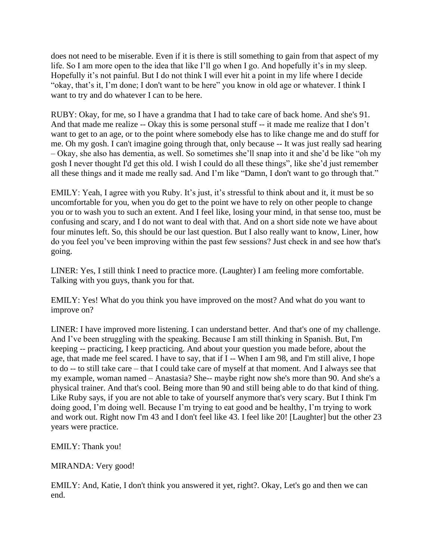does not need to be miserable. Even if it is there is still something to gain from that aspect of my life. So I am more open to the idea that like I'll go when I go. And hopefully it's in my sleep. Hopefully it's not painful. But I do not think I will ever hit a point in my life where I decide "okay, that's it, I'm done; I don't want to be here" you know in old age or whatever. I think I want to try and do whatever I can to be here.

RUBY: Okay, for me, so I have a grandma that I had to take care of back home. And she's 91. And that made me realize -- Okay this is some personal stuff -- it made me realize that I don't want to get to an age, or to the point where somebody else has to like change me and do stuff for me. Oh my gosh. I can't imagine going through that, only because -- It was just really sad hearing – Okay, she also has dementia, as well. So sometimes she'll snap into it and she'd be like "oh my gosh I never thought I'd get this old. I wish I could do all these things", like she'd just remember all these things and it made me really sad. And I'm like "Damn, I don't want to go through that."

EMILY: Yeah, I agree with you Ruby. It's just, it's stressful to think about and it, it must be so uncomfortable for you, when you do get to the point we have to rely on other people to change you or to wash you to such an extent. And I feel like, losing your mind, in that sense too, must be confusing and scary, and I do not want to deal with that. And on a short side note we have about four minutes left. So, this should be our last question. But I also really want to know, Liner, how do you feel you've been improving within the past few sessions? Just check in and see how that's going.

LINER: Yes, I still think I need to practice more. (Laughter) I am feeling more comfortable. Talking with you guys, thank you for that.

EMILY: Yes! What do you think you have improved on the most? And what do you want to improve on?

LINER: I have improved more listening. I can understand better. And that's one of my challenge. And I've been struggling with the speaking. Because I am still thinking in Spanish. But, I'm keeping -- practicing, I keep practicing. And about your question you made before, about the age, that made me feel scared. I have to say, that if I -- When I am 98, and I'm still alive, I hope to do -- to still take care – that I could take care of myself at that moment. And I always see that my example, woman named – Anastasia? She-- maybe right now she's more than 90. And she's a physical trainer. And that's cool. Being more than 90 and still being able to do that kind of thing. Like Ruby says, if you are not able to take of yourself anymore that's very scary. But I think I'm doing good, I'm doing well. Because I'm trying to eat good and be healthy, I'm trying to work and work out. Right now I'm 43 and I don't feel like 43. I feel like 20! [Laughter] but the other 23 years were practice.

EMILY: Thank you!

MIRANDA: Very good!

EMILY: And, Katie, I don't think you answered it yet, right?. Okay, Let's go and then we can end.